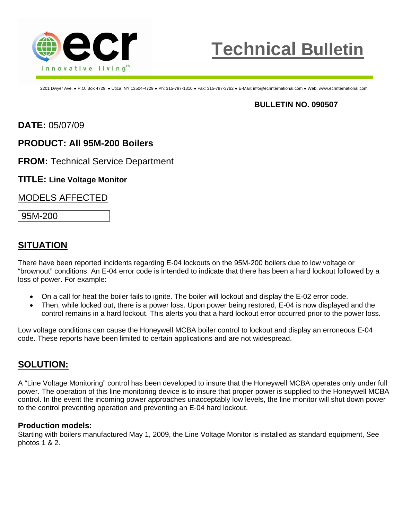



2201 Dwyer Ave. ● P.O. Box 4729 ● Utica, NY 13504-4729 ● Ph: 315-797-1310 ● Fax: 315-797-3762 ● E-Mail: info@ecrinternational.com ● Web: www.ecrinternational.com

### **BULLETIN NO. 090507**

**DATE:** 05/07/09

## **PRODUCT: All 95M-200 Boilers**

**FROM:** Technical Service Department

#### **TITLE: Line Voltage Monitor**

### MODELS AFFECTED

95M-200

## **SITUATION**

There have been reported incidents regarding E-04 lockouts on the 95M-200 boilers due to low voltage or "brownout" conditions. An E-04 error code is intended to indicate that there has been a hard lockout followed by a loss of power. For example:

- On a call for heat the boiler fails to ignite. The boiler will lockout and display the E-02 error code.
- Then, while locked out, there is a power loss. Upon power being restored, E-04 is now displayed and the control remains in a hard lockout. This alerts you that a hard lockout error occurred prior to the power loss.

Low voltage conditions can cause the Honeywell MCBA boiler control to lockout and display an erroneous E-04 code. These reports have been limited to certain applications and are not widespread.

## **SOLUTION:**

A "Line Voltage Monitoring" control has been developed to insure that the Honeywell MCBA operates only under full power. The operation of this line monitoring device is to insure that proper power is supplied to the Honeywell MCBA control. In the event the incoming power approaches unacceptably low levels, the line monitor will shut down power to the control preventing operation and preventing an E-04 hard lockout.

#### **Production models:**

Starting with boilers manufactured May 1, 2009, the Line Voltage Monitor is installed as standard equipment, See photos 1 & 2.